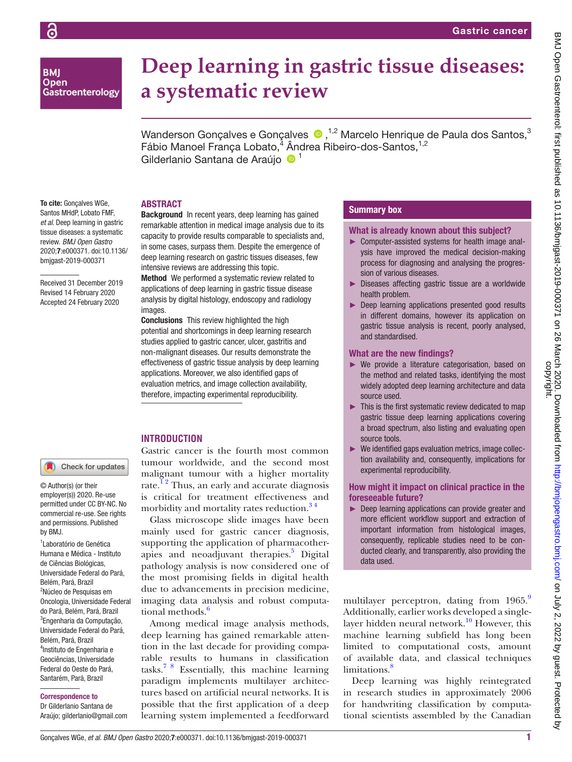**BMI Open** Gastroenterology

# **Deep learning in gastric tissue diseases: a systematic review**

WandersonGonçalves e Gonçalves  $\bullet$ ,<sup>1,2</sup> Marcelo Henrique de Paula dos Santos,<sup>3</sup> Fábio Manoel França Lobato,<sup>4</sup> Ândrea Ribeiro-dos-Santos,<sup>1,2</sup> Gilderlanio Santana de Araújo <sup>1</sup>

# **ABSTRACT**

To cite: Gonçalves WGe, Santos MHdP, Lobato FMF, *et al*. Deep learning in gastric tissue diseases: a systematic review. *BMJ Open Gastro* 2020;7:e000371. doi:10.1136/ bmjgast-2019-000371

Received 31 December 2019 Revised 14 February 2020 Accepted 24 February 2020

Background In recent years, deep learning has gained remarkable attention in medical image analysis due to its capacity to provide results comparable to specialists and, in some cases, surpass them. Despite the emergence of deep learning research on gastric tissues diseases, few intensive reviews are addressing this topic.

Method We performed a systematic review related to applications of deep learning in gastric tissue disease analysis by digital histology, endoscopy and radiology images.

Conclusions This review highlighted the high potential and shortcomings in deep learning research studies applied to gastric cancer, ulcer, gastritis and non-malignant diseases. Our results demonstrate the effectiveness of gastric tissue analysis by deep learning applications. Moreover, we also identified gaps of evaluation metrics, and image collection availability, therefore, impacting experimental reproducibility.

# **Introduction**

Gastric cancer is the fourth most common tumour worldwide, and the second most malignant tumour with a higher mortality rate.<sup>12</sup> Thus, an early and accurate diagnosis is critical for treatment effectiveness and morbidity and mortality rates reduction.<sup>34</sup>

Glass microscope slide images have been mainly used for gastric cancer diagnosis, supporting the application of pharmacotherapies and neoadjuvant therapies.<sup>5</sup> Digital pathology analysis is now considered one of the most promising fields in digital health due to advancements in precision medicine, imaging data analysis and robust computational methods.<sup>6</sup>

Among medical image analysis methods, deep learning has gained remarkable attention in the last decade for providing comparable results to humans in classification tasks.<sup>[7 8](#page-8-4)</sup> Essentially, this machine learning paradigm implements multilayer architectures based on artificial neural networks. It is possible that the first application of a deep learning system implemented a feedforward

# Summary box

#### What is already known about this subject?

- ► Computer-assisted systems for health image analysis have improved the medical decision-making process for diagnosing and analysing the progression of various diseases.
- ► Diseases affecting gastric tissue are a worldwide health problem.
- ► Deep learning applications presented good results in different domains, however its application on gastric tissue analysis is recent, poorly analysed, and standardised.

#### What are the new findings?

- ► We provide a literature categorisation, based on the method and related tasks, identifying the most widely adopted deep learning architecture and data source used.
- $\blacktriangleright$  This is the first systematic review dedicated to map gastric tissue deep learning applications covering a broad spectrum, also listing and evaluating open source tools.
- ► We identified gaps evaluation metrics, image collection availability and, consequently, implications for experimental reproducibility.

## How might it impact on clinical practice in the foreseeable future?

► Deep learning applications can provide greater and more efficient workflow support and extraction of important information from histological images, consequently, replicable studies need to be conducted clearly, and transparently, also providing the data used.

multilayer perceptron, dating from 1[9](#page-8-5)65.<sup>9</sup> Additionally, earlier works developed a singlelayer hidden neural network.<sup>10</sup> However, this machine learning subfield has long been limited to computational costs, amount of available data, and classical techniques  $limits^8$ 

Deep learning was highly reintegrated in research studies in approximately 2006 for handwriting classification by computational scientists assembled by the Canadian

#### and permissions. Published

Check for updates

© Author(s) (or their employer(s)) 2020. Re-use permitted under CC BY-NC. No commercial re-use. See rights

by BMJ.

1 Laboratório de Genética Humana e Médica - Instituto de Ciências Biológicas, Universidade Federal do Pará, Belém, Pará, Brazil <sup>2</sup>Núcleo de Pesquisas em Oncologia, Universidade Federal do Pará, Belém, Pará, Brazil 3 Engenharia da Computação, Universidade Federal do Pará, Belém, Pará, Brazil <sup>4</sup>Instituto de Engenharia e Geociências, Universidade Federal do Oeste do Pará, Santarém, Pará, Brazil

## Correspondence to

Dr Gilderlanio Santana de Araújo; gilderlanio@gmail.com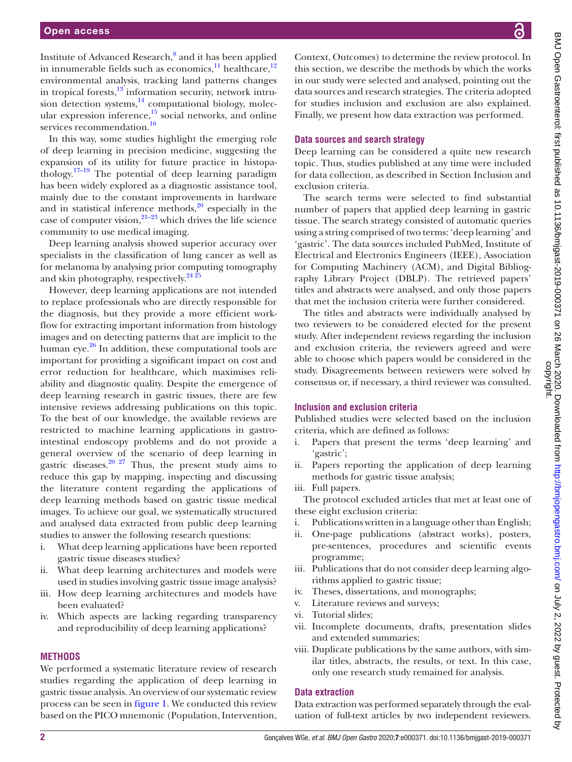Institute of Advanced Research,<sup>8</sup> and it has been applied in innumerable fields such as economics, $\frac{11}{12}$  healthcare,  $\frac{12}{12}$ environmental analysis, tracking land patterns changes in tropical forests, $13$  information security, network intrusion detection systems, $^{14}$  computational biology, molecular expression inference,<sup>15</sup> social networks, and online services recommendation.<sup>[16](#page-9-4)</sup>

In this way, some studies highlight the emerging role of deep learning in precision medicine, suggesting the expansion of its utility for future practice in histopathology.[17–19](#page-9-5) The potential of deep learning paradigm has been widely explored as a diagnostic assistance tool, mainly due to the constant improvements in hardware and in statistical inference methods, $2^{\circ}$  especially in the case of computer vision, $2^{1-23}$  which drives the life science community to use medical imaging.

Deep learning analysis showed superior accuracy over specialists in the classification of lung cancer as well as for melanoma by analysing prior computing tomography and skin photography, respectively. $24\overline{25}$ 

However, deep learning applications are not intended to replace professionals who are directly responsible for the diagnosis, but they provide a more efficient workflow for extracting important information from histology images and on detecting patterns that are implicit to the human eye. $2<sup>6</sup>$  In addition, these computational tools are important for providing a significant impact on cost and error reduction for healthcare, which maximises reliability and diagnostic quality. Despite the emergence of deep learning research in gastric tissues, there are few intensive reviews addressing publications on this topic. To the best of our knowledge, the available reviews are restricted to machine learning applications in gastrointestinal endoscopy problems and do not provide a general overview of the scenario of deep learning in gastric diseases.<sup>20 27</sup> Thus, the present study aims to reduce this gap by mapping, inspecting and discussing the literature content regarding the applications of deep learning methods based on gastric tissue medical images. To achieve our goal, we systematically structured and analysed data extracted from public deep learning studies to answer the following research questions:

- i. What deep learning applications have been reported gastric tissue diseases studies?
- ii. What deep learning architectures and models were used in studies involving gastric tissue image analysis?
- iii. How deep learning architectures and models have been evaluated?
- iv. Which aspects are lacking regarding transparency and reproducibility of deep learning applications?

#### **Methods**

We performed a systematic literature review of research studies regarding the application of deep learning in gastric tissue analysis. An overview of our systematic review process can be seen in [figure](#page-2-0) 1. We conducted this review based on the PICO mnemonic (Population, Intervention,

Context, Outcomes) to determine the review protocol. In this section, we describe the methods by which the works in our study were selected and analysed, pointing out the data sources and research strategies. The criteria adopted for studies inclusion and exclusion are also explained. Finally, we present how data extraction was performed.

#### **Data sources and search strategy**

Deep learning can be considered a quite new research topic. Thus, studies published at any time were included for data collection, as described in Section Inclusion and exclusion criteria.

The search terms were selected to find substantial number of papers that applied deep learning in gastric tissue. The search strategy consisted of automatic queries using a string comprised of two terms: 'deep learning' and 'gastric'. The data sources included PubMed, Institute of Electrical and Electronics Engineers (IEEE), Association for Computing Machinery (ACM), and Digital Bibliography Library Project (DBLP). The retrieved papers' titles and abstracts were analysed, and only those papers that met the inclusion criteria were further considered.

The titles and abstracts were individually analysed by two reviewers to be considered elected for the present study. After independent reviews regarding the inclusion and exclusion criteria, the reviewers agreed and were able to choose which papers would be considered in the study. Disagreements between reviewers were solved by consensus or, if necessary, a third reviewer was consulted.

# **Inclusion and exclusion criteria**

Published studies were selected based on the inclusion criteria, which are defined as follows:

- i. Papers that present the terms 'deep learning' and 'gastric';
- ii. Papers reporting the application of deep learning methods for gastric tissue analysis;
- iii. Full papers.

The protocol excluded articles that met at least one of these eight exclusion criteria:

- i. Publications written in a language other than English;
- ii. One-page publications (abstract works), posters, pre-sentences, procedures and scientific events programme;
- iii. Publications that do not consider deep learning algorithms applied to gastric tissue;
- iv. Theses, dissertations, and monographs;
- v. Literature reviews and surveys;
- vi. Tutorial slides;
- vii. Incomplete documents, drafts, presentation slides and extended summaries;
- viii. Duplicate publications by the same authors, with similar titles, abstracts, the results, or text. In this case, only one research study remained for analysis.

#### **Data extraction**

Data extraction was performed separately through the evaluation of full-text articles by two independent reviewers.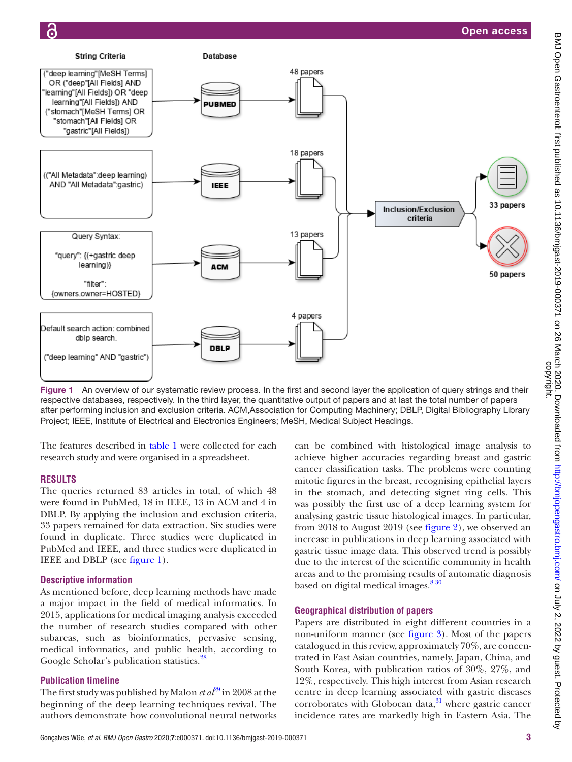

<span id="page-2-0"></span>Figure 1 An overview of our systematic review process. In the first and second layer the application of query strings and their respective databases, respectively. In the third layer, the quantitative output of papers and at last the total number of papers after performing inclusion and exclusion criteria. ACM,Association for Computing Machinery; DBLP, Digital Bibliography Library Project; IEEE, Institute of Electrical and Electronics Engineers; MeSH, Medical Subject Headings.

The features described in [table](#page-3-0) 1 were collected for each research study and were organised in a spreadsheet.

# **Results**

The queries returned 83 articles in total, of which 48 were found in PubMed, 18 in IEEE, 13 in ACM and 4 in DBLP. By applying the inclusion and exclusion criteria, 33 papers remained for data extraction. Six studies were found in duplicate. Three studies were duplicated in PubMed and IEEE, and three studies were duplicated in IEEE and DBLP (see [figure](#page-2-0) 1).

# **Descriptive information**

As mentioned before, deep learning methods have made a major impact in the field of medical informatics. In 2015, applications for medical imaging analysis exceeded the number of research studies compared with other subareas, such as bioinformatics, pervasive sensing, medical informatics, and public health, according to Google Scholar's publication statistics.<sup>28</sup>

# **Publication timeline**

The first study was published by Malon *et al*<sup>29</sup> in 2008 at the beginning of the deep learning techniques revival. The authors demonstrate how convolutional neural networks

can be combined with histological image analysis to achieve higher accuracies regarding breast and gastric cancer classification tasks. The problems were counting mitotic figures in the breast, recognising epithelial layers in the stomach, and detecting signet ring cells. This was possibly the first use of a deep learning system for analysing gastric tissue histological images. In particular, from 2018 to August 2019 (see [figure](#page-3-1) 2), we observed an increase in publications in deep learning associated with gastric tissue image data. This observed trend is possibly due to the interest of the scientific community in health areas and to the promising results of automatic diagnosis based on digital medical images.<sup>830</sup>

# **Geographical distribution of papers**

Papers are distributed in eight different countries in a non-uniform manner (see [figure](#page-3-2) 3). Most of the papers catalogued in this review, approximately 70%, are concentrated in East Asian countries, namely, Japan, China, and South Korea, with publication ratios of 30%, 27%, and 12%, respectively. This high interest from Asian research centre in deep learning associated with gastric diseases corroborates with Globocan data, $31$  where gastric cancer incidence rates are markedly high in Eastern Asia. The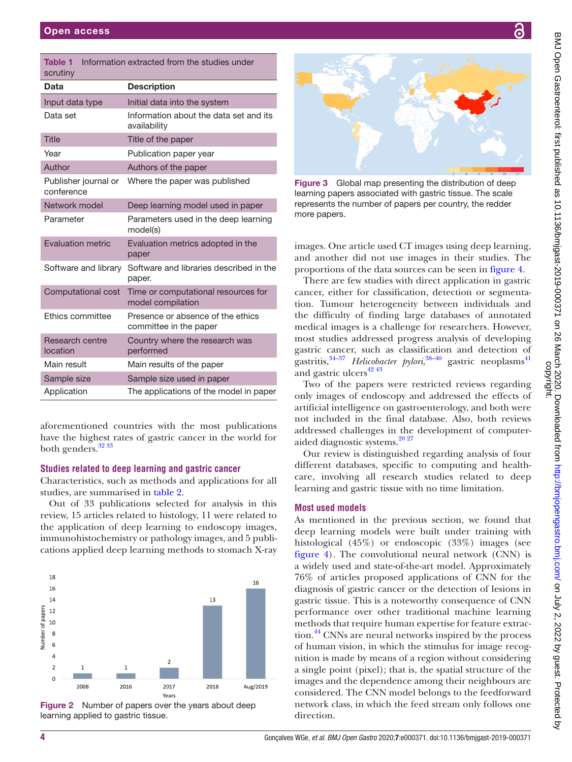<span id="page-3-0"></span>

| <b>Table 1</b><br>scrutiny         | Information extracted from the studies under                |
|------------------------------------|-------------------------------------------------------------|
| Data                               | <b>Description</b>                                          |
| Input data type                    | Initial data into the system                                |
| Data set                           | Information about the data set and its<br>availability      |
| <b>Title</b>                       | Title of the paper                                          |
| Year                               | Publication paper year                                      |
| Author                             | Authors of the paper                                        |
| Publisher journal or<br>conference | Where the paper was published                               |
| Network model                      | Deep learning model used in paper                           |
| Parameter                          | Parameters used in the deep learning<br>model(s)            |
| <b>Evaluation metric</b>           | Evaluation metrics adopted in the<br>paper                  |
| Software and library               | Software and libraries described in the<br>paper.           |
| Computational cost                 | Time or computational resources for<br>model compilation    |
| Ethics committee                   | Presence or absence of the ethics<br>committee in the paper |
| Research centre<br>location        | Country where the research was<br>performed                 |
| Main result                        | Main results of the paper                                   |
| Sample size                        | Sample size used in paper                                   |
| Application                        | The applications of the model in paper                      |

aforementioned countries with the most publications have the highest rates of gastric cancer in the world for both genders.<sup>32</sup> 33

# **Studies related to deep learning and gastric cancer**

Characteristics, such as methods and applications for all studies, are summarised in [table](#page-4-0) 2.

Out of 33 publications selected for analysis in this review, 15 articles related to histology, 11 were related to the application of deep learning to endoscopy images, immunohistochemistry or pathology images, and 5 publications applied deep learning methods to stomach X-ray



<span id="page-3-1"></span>**Figure 2** Number of papers over the years about deep learning applied to gastric tissue.



Figure 3 Global map presenting the distribution of deep learning papers associated with gastric tissue. The scale represents the number of papers per country, the redder more papers.

<span id="page-3-2"></span>images. One article used CT images using deep learning, and another did not use images in their studies. The proportions of the data sources can be seen in [figure](#page-5-0) 4.

There are few studies with direct application in gastric cancer, either for classification, detection or segmentation. Tumour heterogeneity between individuals and the difficulty of finding large databases of annotated medical images is a challenge for researchers. However, most studies addressed progress analysis of developing gastric cancer, such as classification and detection of gastritis,<sup>[34–37](#page-9-14)</sup> *Helicobacter pylori*,<sup>[38–40](#page-9-15)</sup> gastric neoplasms<sup>41</sup> and gastric ulcers<sup>[42 43](#page-9-17)</sup>

Two of the papers were restricted reviews regarding only images of endoscopy and addressed the effects of artificial intelligence on gastroenterology, and both were not included in the final database. Also, both reviews addressed challenges in the development of computeraided diagnostic systems.<sup>2027</sup>

Our review is distinguished regarding analysis of four different databases, specific to computing and healthcare, involving all research studies related to deep learning and gastric tissue with no time limitation.

# **Most used models**

As mentioned in the previous section, we found that deep learning models were built under training with histological (45%) or endoscopic (33%) images (see [figure](#page-5-0) 4). The convolutional neural network (CNN) is a widely used and state-of-the-art model. Approximately 76% of articles proposed applications of CNN for the diagnosis of gastric cancer or the detection of lesions in gastric tissue. This is a noteworthy consequence of CNN performance over other traditional machine learning methods that require human expertise for feature extraction.<sup>44</sup> CNNs are neural networks inspired by the process of human vision, in which the stimulus for image recognition is made by means of a region without considering a single point (pixel); that is, the spatial structure of the images and the dependence among their neighbours are considered. The CNN model belongs to the feedforward network class, in which the feed stream only follows one direction.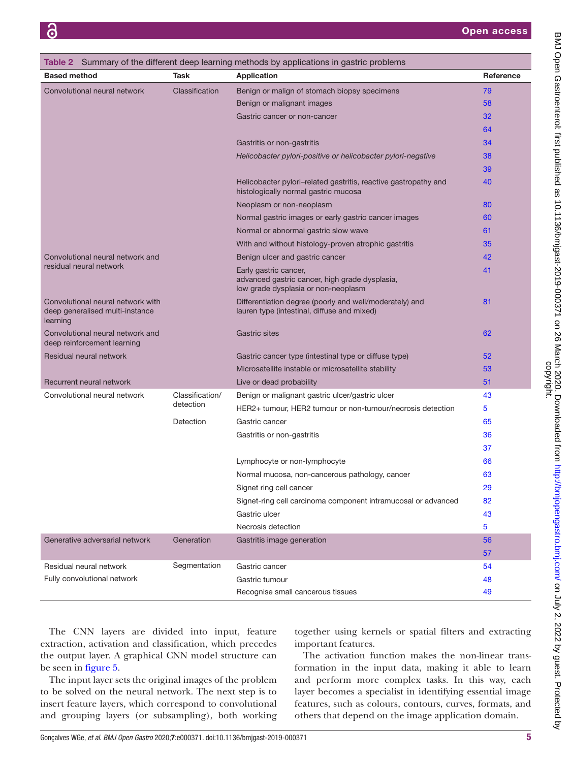<span id="page-4-0"></span>

| <b>Table 2</b> Summary of the different deep learning methods by applications in gastric problems |                              |                                                                                                                |           |
|---------------------------------------------------------------------------------------------------|------------------------------|----------------------------------------------------------------------------------------------------------------|-----------|
| <b>Based method</b>                                                                               | Task                         | <b>Application</b>                                                                                             | Reference |
| Convolutional neural network                                                                      | Classification               | Benign or malign of stomach biopsy specimens                                                                   | 79        |
|                                                                                                   |                              | Benign or malignant images                                                                                     | 58        |
|                                                                                                   |                              | Gastric cancer or non-cancer                                                                                   | 32        |
|                                                                                                   |                              |                                                                                                                | 64        |
|                                                                                                   |                              | Gastritis or non-gastritis                                                                                     | 34        |
|                                                                                                   |                              | Helicobacter pylori-positive or helicobacter pylori-negative                                                   | 38        |
|                                                                                                   |                              |                                                                                                                | 39        |
|                                                                                                   |                              | Helicobacter pylori-related gastritis, reactive gastropathy and<br>histologically normal gastric mucosa        | 40        |
|                                                                                                   |                              | Neoplasm or non-neoplasm                                                                                       | 80        |
|                                                                                                   |                              | Normal gastric images or early gastric cancer images                                                           | 60        |
|                                                                                                   |                              | Normal or abnormal gastric slow wave                                                                           | 61        |
|                                                                                                   |                              | With and without histology-proven atrophic gastritis                                                           | 35        |
| Convolutional neural network and                                                                  |                              | Benign ulcer and gastric cancer                                                                                | 42        |
| residual neural network                                                                           |                              | Early gastric cancer,<br>advanced gastric cancer, high grade dysplasia,<br>low grade dysplasia or non-neoplasm | 41        |
| Convolutional neural network with<br>deep generalised multi-instance<br>learning                  |                              | Differentiation degree (poorly and well/moderately) and<br>lauren type (intestinal, diffuse and mixed)         | 81        |
| Convolutional neural network and<br>deep reinforcement learning                                   |                              | <b>Gastric sites</b>                                                                                           | 62        |
| Residual neural network                                                                           |                              | Gastric cancer type (intestinal type or diffuse type)                                                          | 52        |
|                                                                                                   |                              | Microsatellite instable or microsatellite stability                                                            | 53        |
| Recurrent neural network                                                                          |                              | Live or dead probability                                                                                       | 51        |
| Convolutional neural network                                                                      | Classification/<br>detection | Benign or malignant gastric ulcer/gastric ulcer                                                                | 43        |
|                                                                                                   |                              | HER2+ tumour, HER2 tumour or non-tumour/necrosis detection                                                     | 5         |
|                                                                                                   | Detection                    | Gastric cancer                                                                                                 | 65        |
|                                                                                                   |                              | Gastritis or non-gastritis                                                                                     | 36        |
|                                                                                                   |                              |                                                                                                                | 37        |
|                                                                                                   |                              | Lymphocyte or non-lymphocyte                                                                                   | 66        |
|                                                                                                   |                              | Normal mucosa, non-cancerous pathology, cancer                                                                 | 63        |
|                                                                                                   |                              | Signet ring cell cancer                                                                                        | 29        |
|                                                                                                   |                              | Signet-ring cell carcinoma component intramucosal or advanced                                                  | 82        |
|                                                                                                   |                              | Gastric ulcer                                                                                                  | 43        |
|                                                                                                   |                              | Necrosis detection                                                                                             | 5         |
| Generative adversarial network                                                                    | Generation                   | Gastritis image generation                                                                                     | 56        |
|                                                                                                   |                              |                                                                                                                | 57        |
| Residual neural network                                                                           | Segmentation                 | Gastric cancer                                                                                                 | 54        |
| Fully convolutional network                                                                       |                              | Gastric tumour                                                                                                 | 48        |
|                                                                                                   |                              | Recognise small cancerous tissues                                                                              | 49        |

The CNN layers are divided into input, feature extraction, activation and classification, which precedes the output layer. A graphical CNN model structure can be seen in [figure](#page-5-1) 5.

The input layer sets the original images of the problem to be solved on the neural network. The next step is to insert feature layers, which correspond to convolutional and grouping layers (or subsampling), both working

together using kernels or spatial filters and extracting important features.

The activation function makes the non-linear transformation in the input data, making it able to learn and perform more complex tasks. In this way, each layer becomes a specialist in identifying essential image features, such as colours, contours, curves, formats, and others that depend on the image application domain.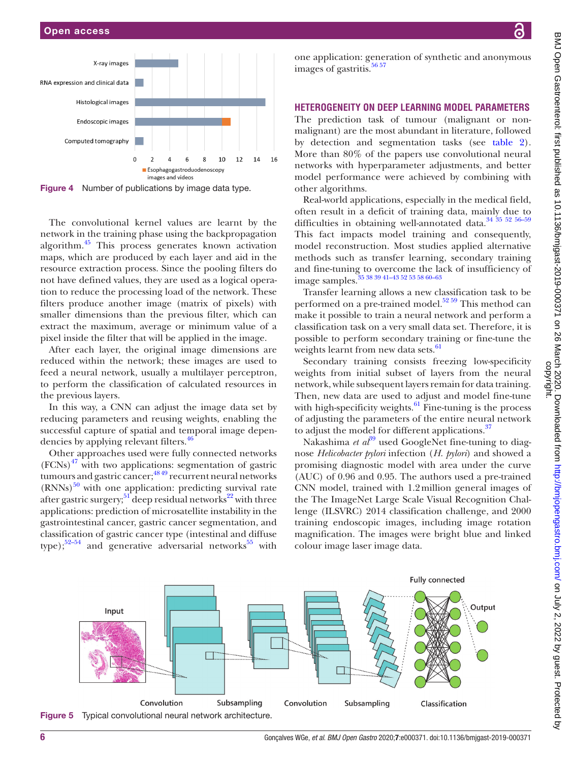

<span id="page-5-0"></span>Figure 4 Number of publications by image data type.

The convolutional kernel values are learnt by the network in the training phase using the backpropagation algorithm.[45](#page-9-38) This process generates known activation maps, which are produced by each layer and aid in the resource extraction process. Since the pooling filters do not have defined values, they are used as a logical operation to reduce the processing load of the network. These filters produce another image (matrix of pixels) with smaller dimensions than the previous filter, which can extract the maximum, average or minimum value of a pixel inside the filter that will be applied in the image.

After each layer, the original image dimensions are reduced within the network; these images are used to feed a neural network, usually a multilayer perceptron, to perform the classification of calculated resources in the previous layers.

In this way, a CNN can adjust the image data set by reducing parameters and reusing weights, enabling the successful capture of spatial and temporal image depen-dencies by applying relevant filters.<sup>[46](#page-9-39)</sup>

Other approaches used were fully connected networks  $(FCNs)$ <sup>47</sup> with two applications: segmentation of gastric tumours and gastric cancer; $\frac{4849}{9}$  recurrent neural networks  $(RNNs)$ <sup>[50](#page-9-41)</sup> with one application: predicting survival rate after gastric surgery;  $51$  deep residual networks<sup>22</sup> with three applications: prediction of microsatellite instability in the gastrointestinal cancer, gastric cancer segmentation, and classification of gastric cancer type (intestinal and diffuse type); $52-54$  and generative adversarial networks<sup>55</sup> with

one application: generation of synthetic and anonymous images of gastritis. $56\,57$ 

# **Heterogeneity on deep learning model parameters**

The prediction task of tumour (malignant or nonmalignant) are the most abundant in literature, followed by detection and segmentation tasks (see [table](#page-4-0) 2). More than 80% of the papers use convolutional neural networks with hyperparameter adjustments, and better model performance were achieved by combining with other algorithms.

Real-world applications, especially in the medical field, often result in a deficit of training data, mainly due to difficulties in obtaining well-annotated data.<sup>34</sup> <sup>35</sup> <sup>52</sup> <sup>56-59</sup> This fact impacts model training and consequently, model reconstruction. Most studies applied alternative methods such as transfer learning, secondary training and fine-tuning to overcome the lack of insufficiency of image samples.<sup>35 38 39 41-43 52 53 58 60-63</sup>

Transfer learning allows a new classification task to be performed on a pre-trained model. $52\frac{59}{2}$  This method can make it possible to train a neural network and perform a classification task on a very small data set. Therefore, it is possible to perform secondary training or fine-tune the weights learnt from new data sets.<sup>61</sup>

Secondary training consists freezing low-specificity weights from initial subset of layers from the neural network, while subsequent layers remain for data training. Then, new data are used to adjust and model fine-tune with high-specificity weights. $^{61}$  Fine-tuning is the process of adjusting the parameters of the entire neural network to adjust the model for different applications. $37$ 

Nakashima *et al*<sup>[39](#page-9-20)</sup> used GoogleNet fine-tuning to diagnose *Helicobacter pylori* infection (*H*. *pylori*) and showed a promising diagnostic model with area under the curve (AUC) of 0.96 and 0.95. The authors used a pre-trained CNN model, trained with 1.2million general images of the The ImageNet Large Scale Visual Recognition Challenge (ILSVRC) 2014 classification challenge, and 2000 training endoscopic images, including image rotation magnification. The images were bright blue and linked colour image laser image data.

<span id="page-5-1"></span>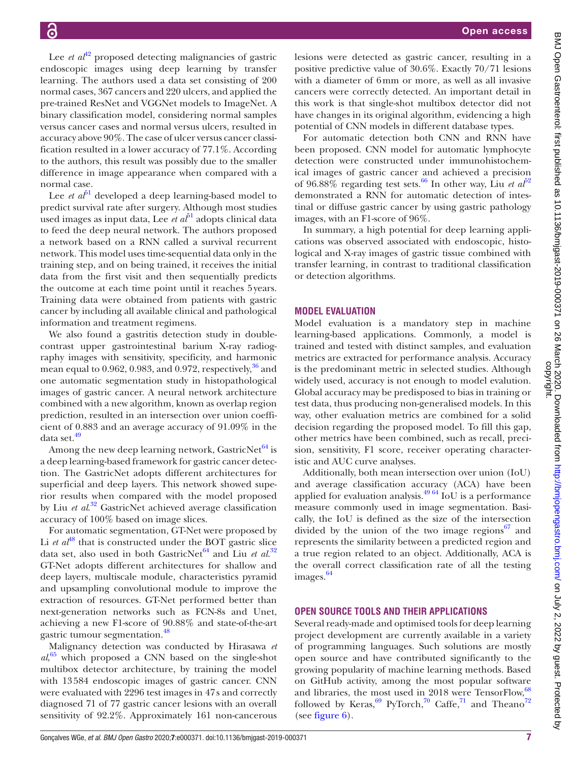Lee *et al*<sup>42</sup> proposed detecting malignancies of gastric endoscopic images using deep learning by transfer learning. The authors used a data set consisting of 200 normal cases, 367 cancers and 220 ulcers, and applied the pre-trained ResNet and VGGNet models to ImageNet. A binary classification model, considering normal samples versus cancer cases and normal versus ulcers, resulted in accuracy above 90%. The case of ulcer versus cancer classification resulted in a lower accuracy of 77.1%. According to the authors, this result was possibly due to the smaller difference in image appearance when compared with a normal case.

Lee *et*  $a\bar{b}$ <sup>1</sup> developed a deep learning-based model to predict survival rate after surgery. Although most studies used images as input data, Lee  $et \, a\tilde{b}^1$  adopts clinical data to feed the deep neural network. The authors proposed a network based on a RNN called a survival recurrent network. This model uses time-sequential data only in the training step, and on being trained, it receives the initial data from the first visit and then sequentially predicts the outcome at each time point until it reaches 5years. Training data were obtained from patients with gastric cancer by including all available clinical and pathological information and treatment regimens.

We also found a gastritis detection study in doublecontrast upper gastrointestinal barium X-ray radiography images with sensitivity, specificity, and harmonic mean equal to  $0.962$ ,  $0.983$ , and  $0.972$ , respectively,  $36$  and one automatic segmentation study in histopathological images of gastric cancer. A neural network architecture combined with a new algorithm, known as overlap region prediction, resulted in an intersection over union coefficient of 0.883 and an average accuracy of 91.09% in the data set.<sup>[49](#page-9-37)</sup>

Among the new deep learning network, GastricNet $^{64}$  $^{64}$  $^{64}$  is a deep learning-based framework for gastric cancer detection. The GastricNet adopts different architectures for superficial and deep layers. This network showed superior results when compared with the model proposed by Liu *et al*. [32](#page-9-13) GastricNet achieved average classification accuracy of 100% based on image slices.

For automatic segmentation, GT-Net were proposed by Li  $et \text{ } at^{48}$  $et \text{ } at^{48}$  $et \text{ } at^{48}$  that is constructed under the BOT gastric slice data set, also used in both GastricNet<sup>64</sup> and Liu *et al.*<sup>[32](#page-9-13)</sup> GT-Net adopts different architectures for shallow and deep layers, multiscale module, characteristics pyramid and upsampling convolutional module to improve the extraction of resources. GT-Net performed better than next-generation networks such as FCN-8s and Unet, achieving a new F1-score of 90.88% and state-of-the-art gastric tumour segmentation.[48](#page-9-36)

Malignancy detection was conducted by Hirasawa *et al*, [65](#page-10-4) which proposed a CNN based on the single-shot multibox detector architecture, by training the model with 13584 endoscopic images of gastric cancer. CNN were evaluated with 2296 test images in 47s and correctly diagnosed 71 of 77 gastric cancer lesions with an overall sensitivity of 92.2%. Approximately 161 non-cancerous

lesions were detected as gastric cancer, resulting in a positive predictive value of 30.6%. Exactly 70/71 lesions with a diameter of 6mm or more, as well as all invasive cancers were correctly detected. An important detail in this work is that single-shot multibox detector did not have changes in its original algorithm, evidencing a high potential of CNN models in different database types.

For automatic detection both CNN and RNN have been proposed. CNN model for automatic lymphocyte detection were constructed under immunohistochemical images of gastric cancer and achieved a precision of 96.88% regarding test sets.<sup>[66](#page-10-5)</sup> In other way, Liu *et al*<sup>[52](#page-9-26)</sup> demonstrated a RNN for automatic detection of intestinal or diffuse gastric cancer by using gastric pathology images, with an F1-score of 96%.

In summary, a high potential for deep learning applications was observed associated with endoscopic, histological and X-ray images of gastric tissue combined with transfer learning, in contrast to traditional classification or detection algorithms.

## **Model evaluation**

Model evaluation is a mandatory step in machine learning-based applications. Commonly, a model is trained and tested with distinct samples, and evaluation metrics are extracted for performance analysis. Accuracy is the predominant metric in selected studies. Although widely used, accuracy is not enough to model evalution. Global accuracy may be predisposed to bias in training or test data, thus producing non-generalised models. In this way, other evaluation metrics are combined for a solid decision regarding the proposed model. To fill this gap, other metrics have been combined, such as recall, precision, sensitivity, F1 score, receiver operating characteristic and AUC curve analyses.

Additionally, both mean intersection over union (IoU) and average classification accuracy (ACA) have been applied for evaluation analysis. $^{4964}$  IoU is a performance measure commonly used in image segmentation. Basically, the IoU is defined as the size of the intersection divided by the union of the two image regions<sup>67</sup> and represents the similarity between a predicted region and a true region related to an object. Additionally, ACA is the overall correct classification rate of all the testing images.<sup>64</sup>

#### **Open source tools and their applications**

Several ready-made and optimised tools for deep learning project development are currently available in a variety of programming languages. Such solutions are mostly open source and have contributed significantly to the growing popularity of machine learning methods. Based on GitHub activity, among the most popular software and libraries, the most used in 2018 were TensorFlow, <sup>68</sup> followed by Keras,<sup>69</sup> PyTorch,<sup>70</sup> Caffe,<sup>71</sup> and Theano<sup>72</sup> (see [figure](#page-7-0) 6).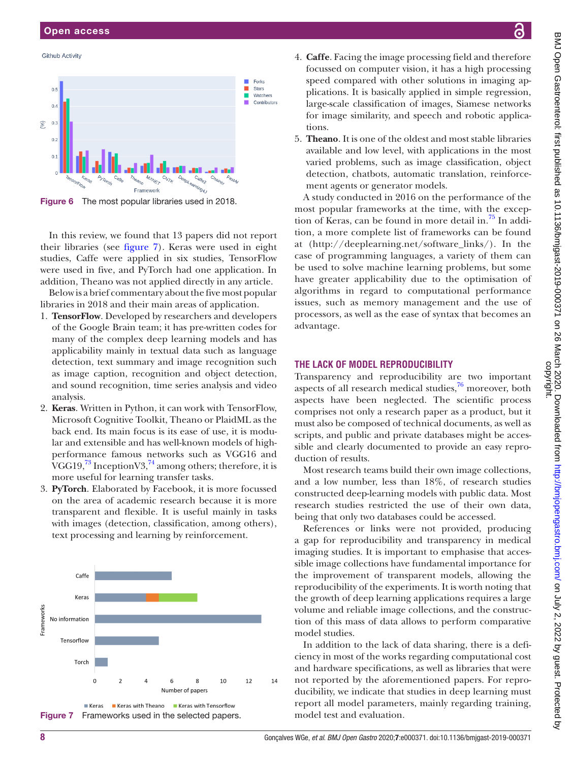#### Open access

#### **Github Activity**



<span id="page-7-0"></span>Figure 6 The most popular libraries used in 2018.

In this review, we found that 13 papers did not report their libraries (see [figure](#page-7-1) 7). Keras were used in eight studies, Caffe were applied in six studies, TensorFlow were used in five, and PyTorch had one application. In addition, Theano was not applied directly in any article.

Below is a brief commentary about the five most popular libraries in 2018 and their main areas of application.

- 1. **TensorFlow**. Developed by researchers and developers of the Google Brain team; it has pre-written codes for many of the complex deep learning models and has applicability mainly in textual data such as language detection, text summary and image recognition such as image caption, recognition and object detection, and sound recognition, time series analysis and video analysis.
- 2. **Keras**. Written in Python, it can work with TensorFlow, Microsoft Cognitive Toolkit, Theano or PlaidML as the back end. Its main focus is its ease of use, it is modular and extensible and has well-known models of highperformance famous networks such as VGG16 and VGG19, $^{73}$  InceptionV3, $^{74}$  among others; therefore, it is more useful for learning transfer tasks.
- 3. **PyTorch**. Elaborated by Facebook, it is more focussed on the area of academic research because it is more transparent and flexible. It is useful mainly in tasks with images (detection, classification, among others), text processing and learning by reinforcement.

<span id="page-7-1"></span>

- BMJ Open Gastroenterol: first published as 10.1136/bmigast-2019-000371 on 26 March 2020. Downloaded from http://bmjopengastro.bmj.com/ on July 2, 2022 by guest. Protected by<br>copyright. BMJ Open Gastroenterol: first published as 10.1136/bmjgast-2019-000371 on 26 March 2020. Downloaded from <http://bmjopengastro.bmj.com/> on July 2, 2022 by guest. Protected by
- 4. **Caffe**. Facing the image processing field and therefore focussed on computer vision, it has a high processing speed compared with other solutions in imaging applications. It is basically applied in simple regression, large-scale classification of images, Siamese networks for image similarity, and speech and robotic applications.
- 5. **Theano**. It is one of the oldest and most stable libraries available and low level, with applications in the most varied problems, such as image classification, object detection, chatbots, automatic translation, reinforcement agents or generator models.

A study conducted in 2016 on the performance of the most popular frameworks at the time, with the exception of Keras, can be found in more detail in.<sup>75</sup> In addition, a more complete list of frameworks can be found at [\(http://deeplearning.net/software\\_links/\)](http://deeplearning.net/software_links/). In the case of programming languages, a variety of them can be used to solve machine learning problems, but some have greater applicability due to the optimisation of algorithms in regard to computational performance issues, such as memory management and the use of processors, as well as the ease of syntax that becomes an advantage.

#### **The lack of model reproducibility**

Transparency and reproducibility are two important aspects of all research medical studies, $^{76}$  moreover, both aspects have been neglected. The scientific process comprises not only a research paper as a product, but it must also be composed of technical documents, as well as scripts, and public and private databases might be accessible and clearly documented to provide an easy reproduction of results.

Most research teams build their own image collections, and a low number, less than 18%, of research studies constructed deep-learning models with public data. Most research studies restricted the use of their own data, being that only two databases could be accessed.

References or links were not provided, producing a gap for reproducibility and transparency in medical imaging studies. It is important to emphasise that accessible image collections have fundamental importance for the improvement of transparent models, allowing the reproducibility of the experiments. It is worth noting that the growth of deep learning applications requires a large volume and reliable image collections, and the construction of this mass of data allows to perform comparative model studies.

In addition to the lack of data sharing, there is a deficiency in most of the works regarding computational cost and hardware specifications, as well as libraries that were not reported by the aforementioned papers. For reproducibility, we indicate that studies in deep learning must report all model parameters, mainly regarding training, model test and evaluation.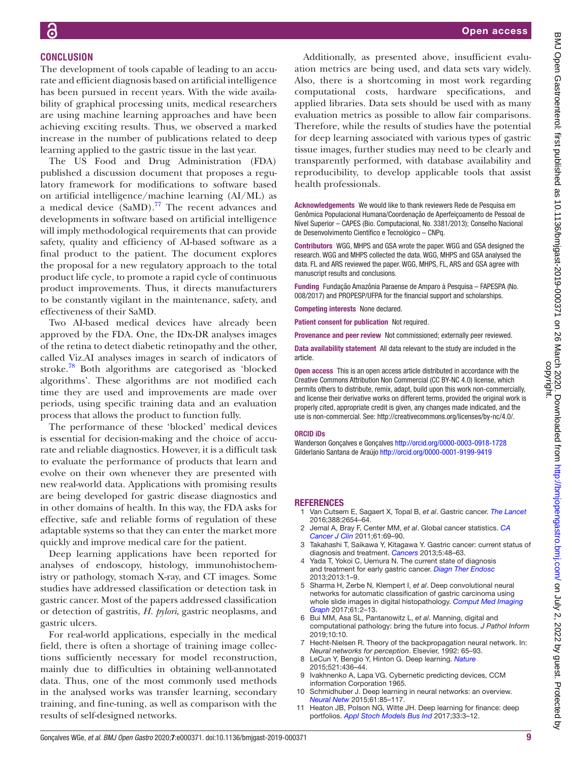## **Conclusion**

The development of tools capable of leading to an accurate and efficient diagnosis based on artificial intelligence has been pursued in recent years. With the wide availability of graphical processing units, medical researchers are using machine learning approaches and have been achieving exciting results. Thus, we observed a marked increase in the number of publications related to deep learning applied to the gastric tissue in the last year.

The US Food and Drug Administration (FDA) published a discussion document that proposes a regulatory framework for modifications to software based on artificial intelligence/machine learning (AI/ML) as a medical device  $(SaMD).^{77}$  The recent advances and developments in software based on artificial intelligence will imply methodological requirements that can provide safety, quality and efficiency of AI-based software as a final product to the patient. The document explores the proposal for a new regulatory approach to the total product life cycle, to promote a rapid cycle of continuous product improvements. Thus, it directs manufacturers to be constantly vigilant in the maintenance, safety, and effectiveness of their SaMD.

Two AI-based medical devices have already been approved by the FDA. One, the IDx-DR analyses images of the retina to detect diabetic retinopathy and the other, called Viz.AI analyses images in search of indicators of stroke.[78](#page-10-18) Both algorithms are categorised as 'blocked algorithms'. These algorithms are not modified each time they are used and improvements are made over periods, using specific training data and an evaluation process that allows the product to function fully.

The performance of these 'blocked' medical devices is essential for decision-making and the choice of accurate and reliable diagnostics. However, it is a difficult task to evaluate the performance of products that learn and evolve on their own whenever they are presented with new real-world data. Applications with promising results are being developed for gastric disease diagnostics and in other domains of health. In this way, the FDA asks for effective, safe and reliable forms of regulation of these adaptable systems so that they can enter the market more quickly and improve medical care for the patient.

Deep learning applications have been reported for analyses of endoscopy, histology, immunohistochemistry or pathology, stomach X-ray, and CT images. Some studies have addressed classification or detection task in gastric cancer. Most of the papers addressed classification or detection of gastritis, *H. pylori*, gastric neoplasms, and gastric ulcers.

For real-world applications, especially in the medical field, there is often a shortage of training image collections sufficiently necessary for model reconstruction, mainly due to difficulties in obtaining well-annotated data. Thus, one of the most commonly used methods in the analysed works was transfer learning, secondary training, and fine-tuning, as well as comparison with the results of self-designed networks.

Additionally, as presented above, insufficient evaluation metrics are being used, and data sets vary widely. Also, there is a shortcoming in most work regarding computational costs, hardware specifications, and applied libraries. Data sets should be used with as many evaluation metrics as possible to allow fair comparisons. Therefore, while the results of studies have the potential for deep learning associated with various types of gastric tissue images, further studies may need to be clearly and transparently performed, with database availability and reproducibility, to develop applicable tools that assist health professionals.

Acknowledgements We would like to thank reviewers Rede de Pesquisa em Genômica Populacional Humana/Coordenação de Aperfeiçoamento de Pessoal de Nível Superior – CAPES (Bio. Computacional, No. 3381/2013); Conselho Nacional de Desenvolvimento Científico e Tecnológico – CNPq.

Contributors WGG, MHPS and GSA wrote the paper. WGG and GSA designed the research. WGG and MHPS collected the data. WGG, MHPS and GSA analysed the data. FL and ARS reviewed the paper. WGG, MHPS, FL, ARS and GSA agree with manuscript results and conclusions.

Funding Fundação Amazônia Paraense de Amparo à Pesquisa – FAPESPA (No. 008/2017) and PROPESP/UFPA for the financial support and scholarships.

Competing interests None declared.

Patient consent for publication Not required.

Provenance and peer review Not commissioned; externally peer reviewed.

Data availability statement All data relevant to the study are included in the article.

Open access This is an open access article distributed in accordance with the Creative Commons Attribution Non Commercial (CC BY-NC 4.0) license, which permits others to distribute, remix, adapt, build upon this work non-commercially, and license their derivative works on different terms, provided the original work is properly cited, appropriate credit is given, any changes made indicated, and the use is non-commercial. See:<http://creativecommons.org/licenses/by-nc/4.0/>.

#### ORCID iDs

Wanderson Gonçalves e Gonçalves <http://orcid.org/0000-0003-0918-1728> Gilderlanio Santana de Araújo<http://orcid.org/0000-0001-9199-9419>

#### **REFERENCES**

- <span id="page-8-0"></span>1 Van Cutsem E, Sagaert X, Topal B, *et al*. Gastric cancer. *[The Lancet](http://dx.doi.org/10.1016/S0140-6736(16)30354-3)* 2016;388:2654–64.
- 2 Jemal A, Bray F, Center MM, *et al*. Global cancer statistics. *[CA](http://dx.doi.org/10.3322/caac.20107)  [Cancer J Clin](http://dx.doi.org/10.3322/caac.20107)* 2011;61:69–90.
- <span id="page-8-1"></span>3 Takahashi T, Saikawa Y, Kitagawa Y. Gastric cancer: current status of diagnosis and treatment. *[Cancers](http://dx.doi.org/10.3390/cancers5010048)* 2013;5:48–63.
- 4 Yada T, Yokoi C, Uemura N. The current state of diagnosis and treatment for early gastric cancer. *[Diagn Ther Endosc](http://dx.doi.org/10.1155/2013/241320)* 2013;2013:1–9.
- <span id="page-8-2"></span>5 Sharma H, Zerbe N, Klempert I, *et al*. Deep convolutional neural networks for automatic classification of gastric carcinoma using whole slide images in digital histopathology. *[Comput Med Imaging](http://dx.doi.org/10.1016/j.compmedimag.2017.06.001)  [Graph](http://dx.doi.org/10.1016/j.compmedimag.2017.06.001)* 2017;61:2–13.
- <span id="page-8-3"></span>6 Bui MM, Asa SL, Pantanowitz L, *et al*. Manning, digital and computational pathology: bring the future into focus. *J Pathol Inform* 2019;10:10.
- <span id="page-8-4"></span>7 Hecht-Nielsen R. Theory of the backpropagation neural network. In: *Neural networks for perception*. Elsevier, 1992: 65–93.
- <span id="page-8-7"></span>8 LeCun Y, Bengio Y, Hinton G. Deep learning. *[Nature](http://dx.doi.org/10.1038/nature14539)* 2015;521:436–44.
- <span id="page-8-5"></span>Ivakhnenko A, Lapa VG. Cybernetic predicting devices, CCM information Corporation 1965.
- <span id="page-8-6"></span>10 Schmidhuber J. Deep learning in neural networks: an overview. *[Neural Netw](http://dx.doi.org/10.1016/j.neunet.2014.09.003)* 2015;61:85–117.
- <span id="page-8-8"></span>Heaton JB, Polson NG, Witte JH. Deep learning for finance: deep portfolios. *[Appl Stoch Models Bus Ind](http://dx.doi.org/10.1002/asmb.2209)* 2017;33:3–12.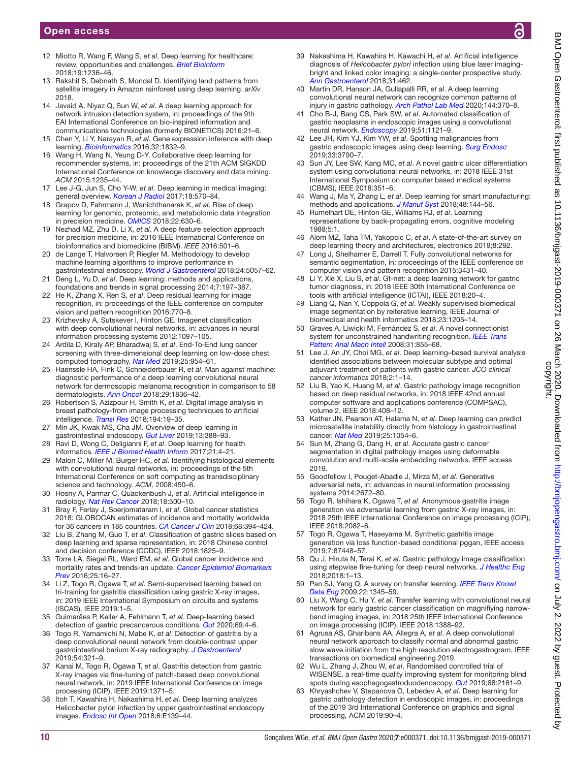- <span id="page-9-0"></span>12 Miotto R, Wang F, Wang S, *et al*. Deep learning for healthcare: review, opportunities and challenges. *[Brief Bioinform](http://dx.doi.org/10.1093/bib/bbx044)* 2018;19:1236–46.
- <span id="page-9-1"></span>13 Rakshit S, Debnath S, Mondal D. Identifying land patterns from satellite imagery in Amazon rainforest using deep learning. *arXiv* 2018.
- <span id="page-9-2"></span>14 Javaid A, Niyaz Q, Sun W, *et al*. A deep learning approach for network intrusion detection system, in: proceedings of the 9th EAI International Conference on bio-inspired information and communications technologies (formerly BIONETICS) 2016:21–6.
- <span id="page-9-3"></span>15 Chen Y, Li Y, Narayan R, *et al*. Gene expression inference with deep learning. *[Bioinformatics](http://dx.doi.org/10.1093/bioinformatics/btw074)* 2016;32:1832–9.
- <span id="page-9-4"></span>16 Wang H, Wang N, Yeung D-Y. Collaborative deep learning for recommender systems, in: proceedings of the 21th ACM SIGKDD International Conference on knowledge discovery and data mining. *ACM* 2015:1235–44.
- <span id="page-9-5"></span>17 Lee J-G, Jun S, Cho Y-W, *et al*. Deep learning in medical imaging: general overview. *[Korean J Radiol](http://dx.doi.org/10.3348/kjr.2017.18.4.570)* 2017;18:570–84.
- 18 Grapov D, Fahrmann J, Wanichthanarak K, *et al*. Rise of deep learning for genomic, proteomic, and metabolomic data integration in precision medicine. *[OMICS](http://dx.doi.org/10.1089/omi.2018.0097)* 2018;22:630–6.
- 19 Nezhad MZ, Zhu D, Li X, *et al*. A deep feature selection approach for precision medicine, in: 2016 IEEE International Conference on bioinformatics and biomedicine (BIBM). *IEEE* 2016:501–6.
- <span id="page-9-6"></span>20 de Lange T, Halvorsen P, Riegler M. Methodology to develop machine learning algorithms to improve performance in gastrointestinal endoscopy. *[World J Gastroenterol](http://dx.doi.org/10.3748/wjg.v24.i45.5057)* 2018;24:5057–62.
- <span id="page-9-7"></span>21 Deng L, Yu D, *et al*. Deep learning: methods and applications, foundations and trends in signal processing 2014;7:197–387.
- <span id="page-9-42"></span>22 He K, Zhang X, Ren S, *et al*. Deep residual learning for image recognition, in: proceedings of the IEEE conference on computer vision and pattern recognition 2016:770–8.
- 23 Krizhevsky A, Sutskever I, Hinton GE. Imagenet classification with deep convolutional neural networks, in: advances in neural information processing systems 2012:1097–105.
- <span id="page-9-8"></span>24 Ardila D, Kiraly AP, Bharadwaj S, *et al*. End-To-End lung cancer screening with three-dimensional deep learning on low-dose chest computed tomography. *[Nat Med](http://dx.doi.org/10.1038/s41591-019-0447-x)* 2019;25:954–61.
- 25 Haenssle HA, Fink C, Schneiderbauer R, *et al*. Man against machine: diagnostic performance of a deep learning convolutional neural network for dermoscopic melanoma recognition in comparison to 58 dermatologists. *[Ann Oncol](http://dx.doi.org/10.1093/annonc/mdy166)* 2018;29:1836–42.
- <span id="page-9-9"></span>26 Robertson S, Azizpour H, Smith K, *et al*. Digital image analysis in breast pathology-from image processing techniques to artificial intelligence. *[Transl Res](http://dx.doi.org/10.1016/j.trsl.2017.10.010)* 2018;194:19–35.
- 27 Min JK, Kwak MS, Cha JM. Overview of deep learning in gastrointestinal endoscopy. *[Gut Liver](http://dx.doi.org/10.5009/gnl18384)* 2019;13:388–93.
- <span id="page-9-10"></span>28 Ravì D, Wong C, Deligianni F, *et al*. Deep learning for health informatics. *[IEEE J Biomed Health Inform](http://dx.doi.org/10.1109/JBHI.2016.2636665)* 2017;21:4–21.
- <span id="page-9-11"></span>29 Malon C, Miller M, Burger HC, *et al*. Identifying histological elements with convolutional neural networks, in: proceedings of the 5th International Conference on soft computing as transdisciplinary science and technology. *ACM,* 2008:450–6.
- 30 Hosny A, Parmar C, Quackenbush J, *et al*. Artificial intelligence in radiology. *[Nat Rev Cancer](http://dx.doi.org/10.1038/s41568-018-0016-5)* 2018;18:500–10.
- <span id="page-9-12"></span>31 Bray F, Ferlay J, Soerjomataram I, *et al*. Global cancer statistics 2018: GLOBOCAN estimates of incidence and mortality worldwide for 36 cancers in 185 countries. *[CA Cancer J Clin](http://dx.doi.org/10.3322/caac.21492)* 2018;68:394–424.
- <span id="page-9-13"></span>32 Liu B, Zhang M, Guo T, *et al*. Classification of gastric slices based on deep learning and sparse representation, in: 2018 Chinese control and decision conference (CCDC), IEEE 2018:1825–9.
- 33 Torre LA, Siegel RL, Ward EM, *et al*. Global cancer incidence and mortality rates and trends-an update. *[Cancer Epidemiol Biomarkers](http://dx.doi.org/10.1158/1055-9965.EPI-15-0578)  [Prev](http://dx.doi.org/10.1158/1055-9965.EPI-15-0578)* 2016;25:16–27.
- <span id="page-9-14"></span>34 Li Z, Togo R, Ogawa T, *et al*. Semi-supervised learning based on tri-training for gastritis classification using gastric X-ray images, in: 2019 IEEE International Symposium on circuits and systems (ISCAS), IEEE 2019:1–5.
- <span id="page-9-24"></span>35 Guimarães P, Keller A, Fehlmann T, *et al*. Deep-learning based detection of gastric precancerous conditions. *[Gut](http://dx.doi.org/10.1136/gutjnl-2019-319347)* 2020;69:4–6.
- <span id="page-9-30"></span>36 Togo R, Yamamichi N, Mabe K, *et al*. Detection of gastritis by a deep convolutional neural network from double-contrast upper gastrointestinal barium X-ray radiography. *[J Gastroenterol](http://dx.doi.org/10.1007/s00535-018-1514-7)* 2019;54:321–9.
- <span id="page-9-31"></span>37 Kanai M, Togo R, Ogawa T, *et al*. Gastritis detection from gastric X-ray images via fine-tuning of patch-based deep convolutional neural network, in: 2019 IEEE International Conference on image processing (ICIP), IEEE 2019:1371–5.
- <span id="page-9-15"></span>38 Itoh T, Kawahira H, Nakashima H, *et al*. Deep learning analyzes Helicobacter pylori infection by upper gastrointestinal endoscopy images. *[Endosc Int Open](http://dx.doi.org/10.1055/s-0043-120830)* 2018;6:E139–44.
- <span id="page-9-20"></span>39 Nakashima H, Kawahira H, Kawachi H, *et al*. Artificial intelligence diagnosis of *Helicobacter pylori* infection using blue laser imagingbright and linked color imaging: a single-center prospective study. *[Ann Gastroenterol](http://dx.doi.org/10.20524/aog.2018.0269)* 2018;31:462.
- <span id="page-9-21"></span>40 Martin DR, Hanson JA, Gullapalli RR, *et al*. A deep learning convolutional neural network can recognize common patterns of injury in gastric pathology. *[Arch Pathol Lab Med](http://dx.doi.org/10.5858/arpa.2019-0004-OA)* 2020;144:370–8.
- <span id="page-9-16"></span>41 Cho B-J, Bang CS, Park SW, *et al*. Automated classification of gastric neoplasms in endoscopic images using a convolutional neural network. *[Endoscopy](http://dx.doi.org/10.1055/a-0981-6133)* 2019;51:1121–9.
- <span id="page-9-17"></span>42 Lee JH, Kim YJ, Kim YW, *et al*. Spotting malignancies from gastric endoscopic images using deep learning. *[Surg Endosc](http://dx.doi.org/10.1007/s00464-019-06677-2)* 2019;33:3790–7.
- <span id="page-9-29"></span>43 Sun JY, Lee SW, Kang MC, *et al*. A novel gastric ulcer differentiation system using convolutional neural networks, in: 2018 IEEE 31st International Symposium on computer based medical systems (CBMS), IEEE 2018:351–6.
- <span id="page-9-18"></span>Wang J, Ma Y, Zhang L, *et al.* Deep learning for smart manufacturing: methods and applications. *[J Manuf Syst](http://dx.doi.org/10.1016/j.jmsy.2018.01.003)* 2018;48:144–56.
- <span id="page-9-38"></span>45 Rumelhart DE, Hinton GE, Williams RJ, *et al*. Learning representations by back-propagating errors, cognitive modeling 1988;5:1.
- <span id="page-9-39"></span>46 Alom MZ, Taha TM, Yakopcic C, *et al*. A state-of-the-art survey on deep learning theory and architectures, electronics 2019;8:292.
- <span id="page-9-40"></span>47 Long J, Shelhamer E, Darrell T. Fully convolutional networks for semantic segmentation, in: proceedings of the IEEE conference on computer vision and pattern recognition 2015:3431–40.
- <span id="page-9-36"></span>48 Li Y, Xie X, Liu S, *et al*. Gt-net: a deep learning network for gastric tumor diagnosis, in: 2018 IEEE 30th International Conference on tools with artificial intelligence (ICTAI), IEEE 2018:20–4.
- <span id="page-9-37"></span>49 Liang Q, Nan Y, Coppola G, *et al*. Weakly supervised biomedical image segmentation by reiterative learning, IEEE Journal of biomedical and health informatics 2018;23:1205–14.
- <span id="page-9-41"></span>50 Graves A, Liwicki M, Fernández S, *et al*. A novel connectionist system for unconstrained handwriting recognition. *[IEEE Trans](http://dx.doi.org/10.1109/TPAMI.2008.137)  [Pattern Anal Mach Intell](http://dx.doi.org/10.1109/TPAMI.2008.137)* 2008;31:855–68.
- <span id="page-9-28"></span>51 Lee J, An JY, Choi MG, *et al*. Deep learning–based survival analysis identified associations between molecular subtype and optimal adjuvant treatment of patients with gastric cancer. *JCO clinical cancer informatics* 2018;2:1–14.
- <span id="page-9-26"></span>52 Liu B, Yao K, Huang M, *et al*. Gastric pathology image recognition based on deep residual networks, in: 2018 IEEE 42nd annual computer software and applications conference (COMPSAC), volume 2, IEEE 2018:408–12.
- <span id="page-9-27"></span>53 Kather JN, Pearson AT, Halama N, *et al*. Deep learning can predict microsatellite instability directly from histology in gastrointestinal cancer. *[Nat Med](http://dx.doi.org/10.1038/s41591-019-0462-y)* 2019;25:1054–6.
- <span id="page-9-35"></span>54 Sun M, Zhang G, Dang H, *et al*. Accurate gastric cancer segmentation in digital pathology images using deformable convolution and multi-scale embedding networks, IEEE access 2019.
- <span id="page-9-43"></span>55 Goodfellow I, Pouget-Abadie J, Mirza M, *et al*. Generative adversarial nets, in: advances in neural information processing systems 2014:2672–80.
- <span id="page-9-33"></span>56 Togo R, Ishihara K, Ogawa T, *et al*. Anonymous gastritis image generation via adversarial learning from gastric X-ray images, in: 2018 25th IEEE International Conference on image processing (ICIP), IEEE 2018:2082–6.
- <span id="page-9-34"></span>57 Togo R, Ogawa T, Haseyama M. Synthetic gastritis image generation via loss function-based conditional pggan, IEEE access 2019;7:87448–57.
- <span id="page-9-19"></span>58 Qu J, Hiruta N, Terai K, *et al*. Gastric pathology image classification using stepwise fine-tuning for deep neural networks. *[J Healthc Eng](http://dx.doi.org/10.1155/2018/8961781)* 2018;2018:1–13.
- 59 Pan SJ, Yang Q. A survey on transfer learning. *[IEEE Trans Knowl](http://dx.doi.org/10.1109/TKDE.2009.191)  [Data Eng](http://dx.doi.org/10.1109/TKDE.2009.191)* 2009;22:1345–59.
- <span id="page-9-22"></span>60 Liu X, Wang C, Hu Y, *et al*. Transfer learning with convolutional neural network for early gastric cancer classification on magnifiying narrowband imaging images, in: 2018 25th IEEE International Conference on image processing (ICIP), IEEE 2018:1388–92.
- <span id="page-9-23"></span>61 Agrusa AS, Gharibans AA, Allegra A, *et al*. A deep convolutional neural network approach to classify normal and abnormal gastric slow wave initiation from the high resolution electrogastrogram, IEEE transactions on biomedical engineering 2019.
- <span id="page-9-25"></span>62 Wu L, Zhang J, Zhou W, *et al*. Randomised controlled trial of WISENSE, a real-time quality improving system for monitoring blind spots during esophagogastroduodenoscopy. *[Gut](http://dx.doi.org/10.1136/gutjnl-2018-317366)* 2019;68:2161–9.
- <span id="page-9-32"></span>63 Khryashchev V, Stepanova O, Lebedev A, *et al*. Deep learning for gastric pathology detection in endoscopic images, in: proceedings of the 2019 3rd International Conference on graphics and signal processing, ACM 2019:90–4.